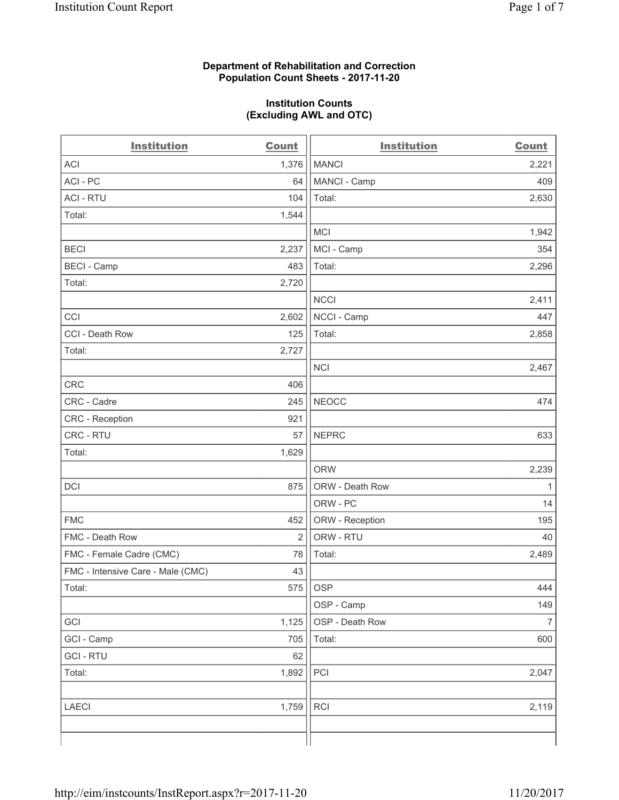#### **Department of Rehabilitation and Correction Population Count Sheets - 2017-11-20**

#### **Institution Counts (Excluding AWL and OTC)**

| <b>Institution</b>                | <b>Count</b>   | <b>Institution</b> | <b>Count</b>   |
|-----------------------------------|----------------|--------------------|----------------|
| <b>ACI</b>                        | 1,376          | <b>MANCI</b>       | 2,221          |
| ACI - PC                          | 64             | MANCI - Camp       | 409            |
| <b>ACI - RTU</b>                  | 104            | Total:             | 2,630          |
| Total:                            | 1,544          |                    |                |
|                                   |                | <b>MCI</b>         | 1,942          |
| <b>BECI</b>                       | 2,237          | MCI - Camp         | 354            |
| <b>BECI - Camp</b>                | 483            | Total:             | 2,296          |
| Total:                            | 2,720          |                    |                |
|                                   |                | <b>NCCI</b>        | 2,411          |
| CCI                               | 2,602          | NCCI - Camp        | 447            |
| CCI - Death Row                   | 125            | Total:             | 2,858          |
| Total:                            | 2,727          |                    |                |
|                                   |                | <b>NCI</b>         | 2,467          |
| CRC                               | 406            |                    |                |
| CRC - Cadre                       | 245            | <b>NEOCC</b>       | 474            |
| CRC - Reception                   | 921            |                    |                |
| CRC - RTU                         | 57             | <b>NEPRC</b>       | 633            |
| Total:                            | 1,629          |                    |                |
|                                   |                | <b>ORW</b>         | 2,239          |
| DCI                               | 875            | ORW - Death Row    | 1              |
|                                   |                | ORW - PC           | 14             |
| <b>FMC</b>                        | 452            | ORW - Reception    | 195            |
| FMC - Death Row                   | $\overline{2}$ | ORW - RTU          | 40             |
| FMC - Female Cadre (CMC)          | 78             | Total:             | 2,489          |
| FMC - Intensive Care - Male (CMC) | 43             |                    |                |
| Total:                            | 575            | <b>OSP</b>         | 444            |
|                                   |                | OSP - Camp         | 149            |
| GCI                               | 1,125          | OSP - Death Row    | $\overline{7}$ |
| GCI - Camp                        | 705            | Total:             | 600            |
| <b>GCI - RTU</b>                  | 62             |                    |                |
| Total:                            | 1,892          | PCI                | 2,047          |
|                                   |                |                    |                |
| <b>LAECI</b>                      | 1,759          | <b>RCI</b>         | 2,119          |
|                                   |                |                    |                |
|                                   |                |                    |                |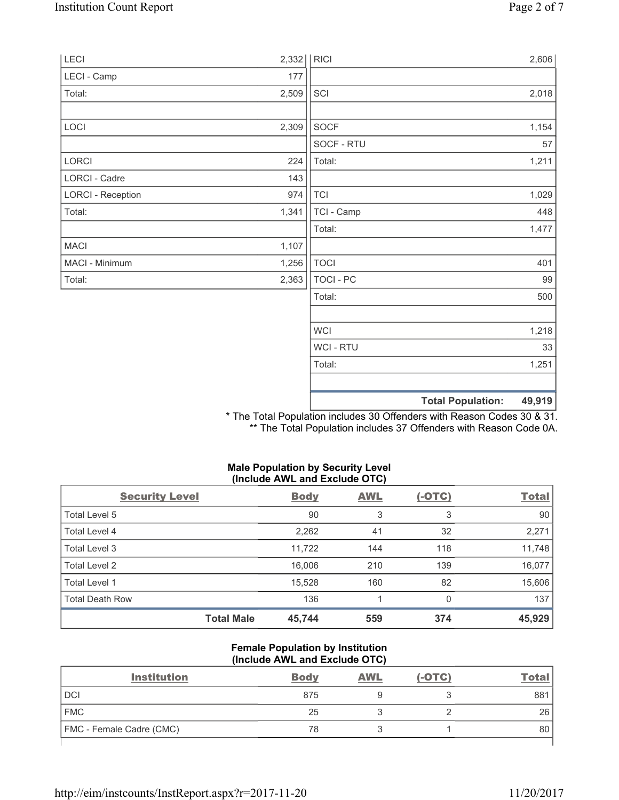| LECI                     | 2,332 | R              | 2,606                              |
|--------------------------|-------|----------------|------------------------------------|
| LECI - Camp              | 177   |                |                                    |
| Total:                   | 2,509 | SCI            | 2,018                              |
| LOCI                     | 2,309 | SOCF           | 1,154                              |
|                          |       | SOCF - RTU     | 57                                 |
| LORCI                    | 224   | Total:         | 1,211                              |
| LORCI - Cadre            | 143   |                |                                    |
| <b>LORCI - Reception</b> | 974   | <b>TCI</b>     | 1,029                              |
| Total:                   | 1,341 | TCI - Camp     | 448                                |
|                          |       | Total:         | 1,477                              |
| <b>MACI</b>              | 1,107 |                |                                    |
| MACI - Minimum           | 1,256 | <b>TOCI</b>    | 401                                |
| Total:                   | 2,363 | TOCI - PC      | 99                                 |
|                          |       | Total:         | 500                                |
|                          |       | <b>WCI</b>     | 1,218                              |
|                          |       | <b>WCI-RTU</b> | 33                                 |
|                          |       | Total:         | 1,251                              |
|                          |       |                | 49,919<br><b>Total Population:</b> |

\* The Total Population includes 30 Offenders with Reason Codes 30 & 31. \*\* The Total Population includes 37 Offenders with Reason Code 0A.

# **Male Population by Security Level (Include AWL and Exclude OTC)**

| <b>Security Level</b>  |                   | <b>Body</b> | <b>AWL</b> | $(-OTC)$ | <b>Total</b> |
|------------------------|-------------------|-------------|------------|----------|--------------|
| Total Level 5          |                   | 90          | 3          | 3        | 90           |
| <b>Total Level 4</b>   |                   | 2,262       | 41         | 32       | 2,271        |
| Total Level 3          |                   | 11,722      | 144        | 118      | 11,748       |
| Total Level 2          |                   | 16,006      | 210        | 139      | 16,077       |
| Total Level 1          |                   | 15,528      | 160        | 82       | 15,606       |
| <b>Total Death Row</b> |                   | 136         |            | 0        | 137          |
|                        | <b>Total Male</b> | 45,744      | 559        | 374      | 45,929       |

#### **Female Population by Institution (Include AWL and Exclude OTC)**

| <b>Institution</b>              | <b>Body</b> | <b>AWL</b> | $(-OTC)$ | Tota |
|---------------------------------|-------------|------------|----------|------|
| <b>DCI</b>                      | 875         |            |          | 881  |
| <b>FMC</b>                      | 25          |            |          | 26   |
| <b>FMC</b> - Female Cadre (CMC) | 78          |            |          | 80   |
|                                 |             |            |          |      |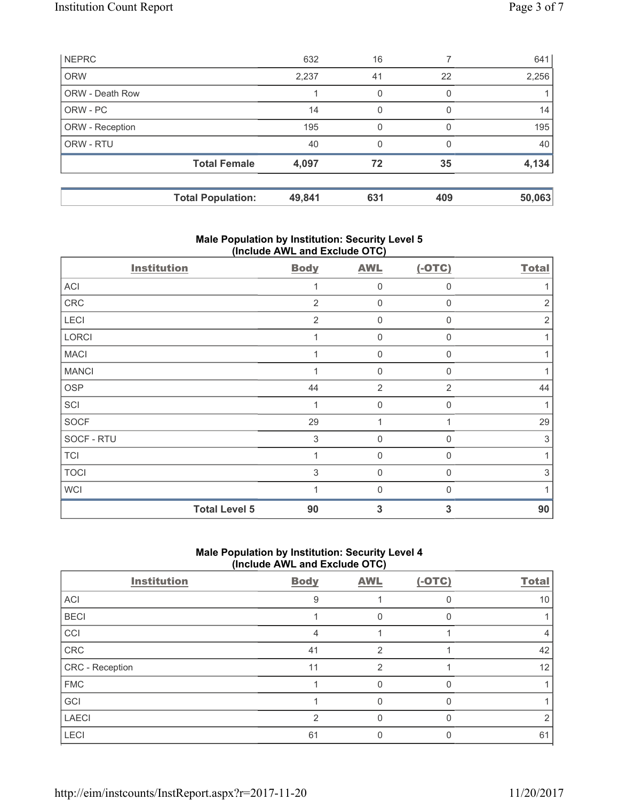|                        | <b>Total Population:</b> | 49,841 | 631 | 409          | 50,063 |
|------------------------|--------------------------|--------|-----|--------------|--------|
|                        | <b>Total Female</b>      | 4,097  | 72  | 35           | 4,134  |
| ORW - RTU              |                          | 40     | 0   | <sup>0</sup> | 40     |
| ORW - Reception        |                          | 195    | 0   | O            | 195    |
| ORW - PC               |                          | 14     | 0   | $\Omega$     | 14     |
| <b>ORW - Death Row</b> |                          |        | 0   | 0            |        |
| <b>ORW</b>             |                          | 2,237  | 41  | 22           | 2,256  |
| <b>NEPRC</b>           |                          | 632    | 16  |              | 641    |

# **Male Population by Institution: Security Level 5 (Include AWL and Exclude OTC)**

| <b>Institution</b>   | <b>Body</b>    | <b>AWL</b>     | $(-OTC)$     | <b>Total</b>   |
|----------------------|----------------|----------------|--------------|----------------|
| ACI                  | 1              | $\mathbf 0$    | $\Omega$     |                |
| CRC                  | $\overline{2}$ | 0              | $\Omega$     | $\overline{2}$ |
| LECI                 | $\overline{2}$ | $\mathbf 0$    | 0            | $\overline{2}$ |
| LORCI                | 1              | $\mathbf 0$    | $\mathbf{0}$ |                |
| <b>MACI</b>          |                | 0              | 0            |                |
| <b>MANCI</b>         | 1              | $\mathbf 0$    | 0            |                |
| <b>OSP</b>           | 44             | $\overline{2}$ | 2            | 44             |
| SCI                  | 1              | $\mathbf 0$    | $\Omega$     | 1              |
| SOCF                 | 29             | 1              |              | 29             |
| SOCF - RTU           | 3              | $\mathbf 0$    | $\Omega$     | 3              |
| <b>TCI</b>           |                | 0              | <sup>0</sup> |                |
| <b>TOCI</b>          | 3              | $\mathbf 0$    | $\Omega$     | 3              |
| <b>WCI</b>           | 1              | $\Omega$       | U            |                |
| <b>Total Level 5</b> | 90             | 3              | 3            | 90             |

# **Male Population by Institution: Security Level 4 (Include AWL and Exclude OTC)**

| <b>Institution</b> | <b>Body</b> | <b>AWL</b> | $(-OTC)$ | <b>Total</b>      |
|--------------------|-------------|------------|----------|-------------------|
| ACI                | 9           |            |          | 10                |
| <b>BECI</b>        |             | 0          |          |                   |
| CCI                | 4           |            |          |                   |
| CRC                | 41          | っ          |          | 42                |
| CRC - Reception    | 11          | 2          |          | $12 \overline{ }$ |
| <b>FMC</b>         |             |            |          |                   |
| GCI                |             |            |          |                   |
| <b>LAECI</b>       | っ           |            |          |                   |
| LECI               | 61          |            |          | 61                |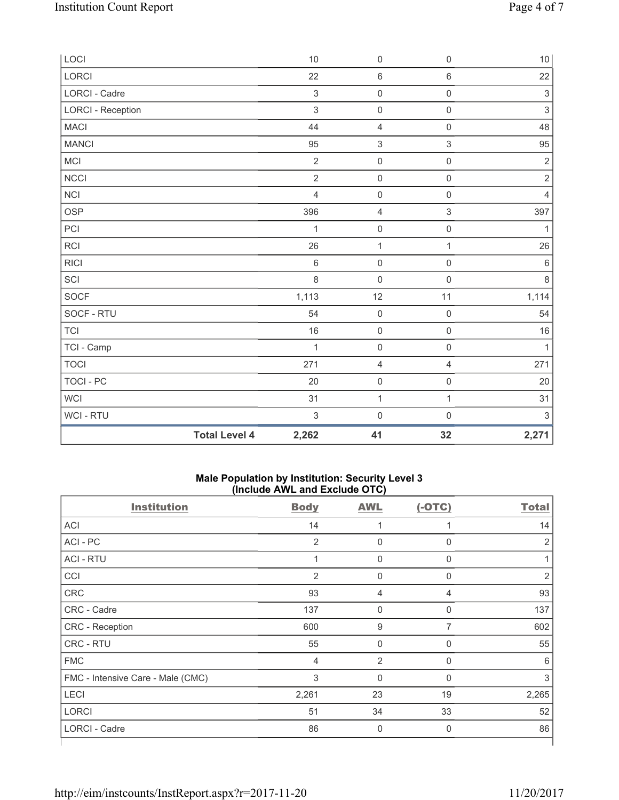| LOCI                     |                      | $10$           | $\mathsf{O}\xspace$       | $\mathbf 0$         | $10$                      |
|--------------------------|----------------------|----------------|---------------------------|---------------------|---------------------------|
| <b>LORCI</b>             |                      | 22             | 6                         | $\,6\,$             | 22                        |
| LORCI - Cadre            |                      | $\,$ 3 $\,$    | $\mathsf{O}\xspace$       | $\mathsf{O}\xspace$ | $\sqrt{3}$                |
| <b>LORCI - Reception</b> |                      | $\mathsf 3$    | $\mathsf{O}\xspace$       | $\mathsf{O}\xspace$ | $\ensuremath{\mathsf{3}}$ |
| <b>MACI</b>              |                      | 44             | $\overline{4}$            | $\mathsf 0$         | 48                        |
| <b>MANCI</b>             |                      | 95             | $\ensuremath{\mathsf{3}}$ | $\,$ 3 $\,$         | 95                        |
| <b>MCI</b>               |                      | $\overline{2}$ | $\mathsf{O}\xspace$       | $\mathsf 0$         | $\overline{2}$            |
| <b>NCCI</b>              |                      | $\overline{2}$ | $\mathsf{O}\xspace$       | $\mathsf{O}\xspace$ | $\sqrt{2}$                |
| <b>NCI</b>               |                      | $\overline{4}$ | 0                         | $\mathsf{O}\xspace$ | $\overline{4}$            |
| <b>OSP</b>               |                      | 396            | 4                         | $\,$ 3 $\,$         | 397                       |
| PCI                      |                      | 1              | $\mathsf{O}\xspace$       | $\mathsf 0$         | 1                         |
| <b>RCI</b>               |                      | 26             | $\mathbf 1$               | $\mathbf{1}$        | 26                        |
| <b>RICI</b>              |                      | $\,6\,$        | $\mathsf{O}\xspace$       | $\mathsf 0$         | $\,6\,$                   |
| SCI                      |                      | 8              | $\mathsf{O}\xspace$       | $\mathbf 0$         | 8                         |
| SOCF                     |                      | 1,113          | 12                        | 11                  | 1,114                     |
| SOCF - RTU               |                      | 54             | $\mathbf 0$               | $\mathsf{O}\xspace$ | 54                        |
| <b>TCI</b>               |                      | 16             | $\mathsf{O}\xspace$       | $\mathsf 0$         | $16$                      |
| TCI - Camp               |                      | $\mathbf{1}$   | $\mathsf{O}\xspace$       | $\mathsf 0$         | $\mathbf{1}$              |
| <b>TOCI</b>              |                      | 271            | 4                         | $\overline{4}$      | 271                       |
| <b>TOCI - PC</b>         |                      | 20             | $\mathsf{O}\xspace$       | $\mathsf{O}\xspace$ | 20                        |
| WCI                      |                      | 31             | $\mathbf 1$               | 1                   | 31                        |
| WCI - RTU                |                      | $\sqrt{3}$     | $\mathsf{O}\xspace$       | $\mathsf{O}\xspace$ | $\sqrt{3}$                |
|                          | <b>Total Level 4</b> | 2,262          | 41                        | 32                  | 2,271                     |

## **Male Population by Institution: Security Level 3 (Include AWL and Exclude OTC)**

| <b>Institution</b>                | <b>Body</b>    | <b>AWL</b>     | $(-OTC)$ | <b>Total</b>   |
|-----------------------------------|----------------|----------------|----------|----------------|
| <b>ACI</b>                        | 14             |                |          | 14             |
| ACI - PC                          | $\overline{2}$ | $\mathbf 0$    | 0        | $\overline{2}$ |
| <b>ACI - RTU</b>                  | 1              | 0              | 0        |                |
| CCI                               | 2              | $\mathbf 0$    | 0        | $\overline{2}$ |
| CRC                               | 93             | 4              | 4        | 93             |
| CRC - Cadre                       | 137            | $\mathbf 0$    | 0        | 137            |
| CRC - Reception                   | 600            | 9              | 7        | 602            |
| <b>CRC - RTU</b>                  | 55             | $\mathbf 0$    | 0        | 55             |
| <b>FMC</b>                        | 4              | $\overline{2}$ | 0        | 6              |
| FMC - Intensive Care - Male (CMC) | 3              | $\mathbf 0$    | $\Omega$ | 3              |
| LECI                              | 2,261          | 23             | 19       | 2,265          |
| <b>LORCI</b>                      | 51             | 34             | 33       | 52             |
| LORCI - Cadre                     | 86             | 0              | 0        | 86             |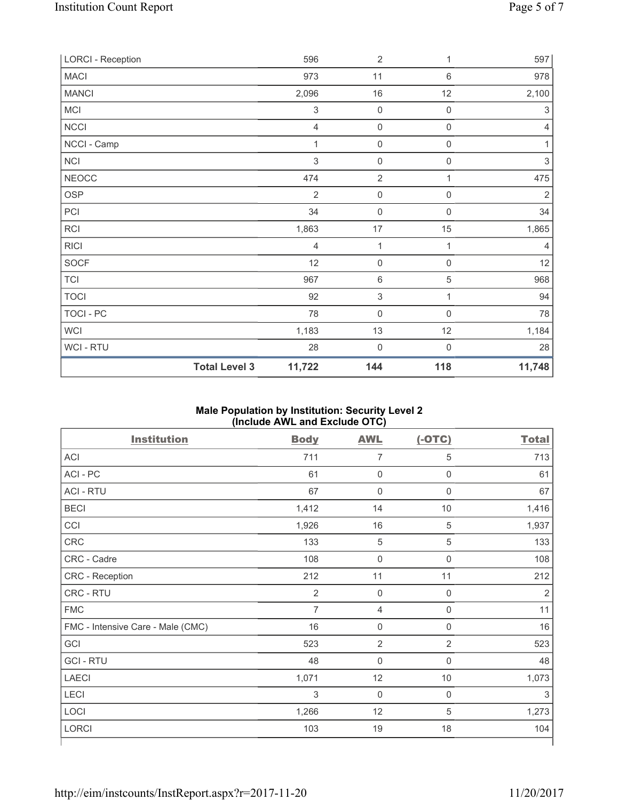| <b>LORCI - Reception</b> |                      | 596            | $\overline{2}$            | 1                   | 597            |
|--------------------------|----------------------|----------------|---------------------------|---------------------|----------------|
| <b>MACI</b>              |                      | 973            | 11                        | 6                   | 978            |
| <b>MANCI</b>             |                      | 2,096          | $16\,$                    | 12                  | 2,100          |
| MCI                      |                      | $\sqrt{3}$     | $\mathbf 0$               | $\boldsymbol{0}$    | 3              |
| <b>NCCI</b>              |                      | $\overline{4}$ | $\mathbf 0$               | $\mathsf 0$         | $\overline{4}$ |
| NCCI - Camp              |                      | 1              | $\mathbf 0$               | $\mathsf{O}\xspace$ | 1              |
| <b>NCI</b>               |                      | $\mathfrak{S}$ | $\mathsf{O}\xspace$       | $\mathsf{O}\xspace$ | $\,$ 3 $\,$    |
| <b>NEOCC</b>             |                      | 474            | $\overline{2}$            | 1                   | 475            |
| <b>OSP</b>               |                      | $\overline{2}$ | $\mathsf{O}\xspace$       | $\mathsf{O}\xspace$ | $\sqrt{2}$     |
| PCI                      |                      | 34             | $\mathbf 0$               | 0                   | 34             |
| <b>RCI</b>               |                      | 1,863          | 17                        | 15                  | 1,865          |
| <b>RICI</b>              |                      | 4              | 1                         | 1                   | 4              |
| <b>SOCF</b>              |                      | 12             | $\mathbf 0$               | $\mathsf 0$         | 12             |
| <b>TCI</b>               |                      | 967            | $\,6\,$                   | 5                   | 968            |
| <b>TOCI</b>              |                      | 92             | $\ensuremath{\mathsf{3}}$ | 1                   | 94             |
| <b>TOCI - PC</b>         |                      | 78             | $\mathbf 0$               | $\mathsf 0$         | 78             |
| <b>WCI</b>               |                      | 1,183          | 13                        | 12                  | 1,184          |
| <b>WCI-RTU</b>           |                      | 28             | $\mathbf 0$               | $\boldsymbol{0}$    | 28             |
|                          | <b>Total Level 3</b> | 11,722         | 144                       | 118                 | 11,748         |

## **Male Population by Institution: Security Level 2 (Include AWL and Exclude OTC)**

| <b>Institution</b>                | <b>Body</b>    | <b>AWL</b>          | $(-OTC)$       | <b>Total</b>   |
|-----------------------------------|----------------|---------------------|----------------|----------------|
| ACI                               | 711            | $\overline{7}$      | 5              | 713            |
| ACI - PC                          | 61             | $\mathbf 0$         | $\mathbf 0$    | 61             |
| <b>ACI - RTU</b>                  | 67             | $\mathbf 0$         | $\mathbf 0$    | 67             |
| <b>BECI</b>                       | 1,412          | 14                  | $10$           | 1,416          |
| CCI                               | 1,926          | 16                  | 5              | 1,937          |
| CRC                               | 133            | $\overline{5}$      | $\sqrt{5}$     | 133            |
| CRC - Cadre                       | 108            | $\mathsf{O}\xspace$ | $\mathbf 0$    | 108            |
| CRC - Reception                   | 212            | 11                  | 11             | 212            |
| CRC - RTU                         | $\overline{2}$ | $\mathbf 0$         | $\mathbf 0$    | $\overline{2}$ |
| <b>FMC</b>                        | $\overline{7}$ | $\overline{4}$      | $\mathsf 0$    | 11             |
| FMC - Intensive Care - Male (CMC) | 16             | $\mathsf{O}\xspace$ | $\mathbf 0$    | 16             |
| GCI                               | 523            | $\overline{2}$      | $\overline{2}$ | 523            |
| <b>GCI-RTU</b>                    | 48             | $\mathbf 0$         | $\mathbf 0$    | 48             |
| <b>LAECI</b>                      | 1,071          | 12                  | 10             | 1,073          |
| LECI                              | 3              | $\mathbf 0$         | $\mathbf 0$    | 3              |
| LOCI                              | 1,266          | 12                  | 5              | 1,273          |
| <b>LORCI</b>                      | 103            | 19                  | 18             | 104            |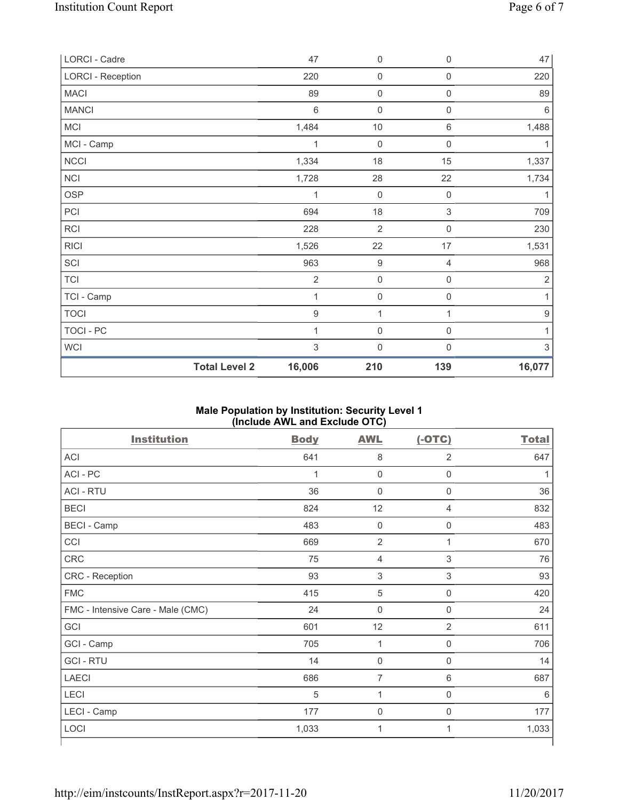| LORCI - Cadre            |                      | 47               | $\mathsf 0$    | 0                   | 47               |
|--------------------------|----------------------|------------------|----------------|---------------------|------------------|
| <b>LORCI - Reception</b> |                      | 220              | $\mathsf 0$    | $\mathbf 0$         | 220              |
| <b>MACI</b>              |                      | 89               | $\mathsf 0$    | $\mathsf{O}\xspace$ | 89               |
| <b>MANCI</b>             |                      | $\,6$            | $\mathbf 0$    | $\mathsf{O}\xspace$ | $\,6\,$          |
| MCI                      |                      | 1,484            | $10$           | $\,6\,$             | 1,488            |
| MCI - Camp               |                      | 1                | $\mathbf 0$    | $\mathsf{O}\xspace$ | 1                |
| NCCI                     |                      | 1,334            | 18             | 15                  | 1,337            |
| <b>NCI</b>               |                      | 1,728            | 28             | 22                  | 1,734            |
| <b>OSP</b>               |                      | 1                | $\mathbf 0$    | $\mathbf 0$         | 1                |
| PCI                      |                      | 694              | 18             | 3                   | 709              |
| RCI                      |                      | 228              | $\overline{2}$ | $\mathbf 0$         | 230              |
| <b>RICI</b>              |                      | 1,526            | 22             | 17                  | 1,531            |
| SCI                      |                      | 963              | 9              | 4                   | 968              |
| <b>TCI</b>               |                      | $\sqrt{2}$       | $\mathsf 0$    | $\mathsf{0}$        | $\overline{2}$   |
| TCI - Camp               |                      | 1                | $\mathbf 0$    | $\mathsf{0}$        | 1                |
| <b>TOCI</b>              |                      | $\boldsymbol{9}$ | 1              | 1                   | $\boldsymbol{9}$ |
| TOCI - PC                |                      | 1                | $\mathbf 0$    | $\mathsf{0}$        | 1                |
| WCI                      |                      | $\sqrt{3}$       | $\mathbf 0$    | 0                   | $\sqrt{3}$       |
|                          | <b>Total Level 2</b> | 16,006           | 210            | 139                 | 16,077           |

## **Male Population by Institution: Security Level 1 (Include AWL and Exclude OTC)**

| <b>Institution</b>                | <b>Body</b> | <b>AWL</b>          | $(-OTC)$       | <b>Total</b> |
|-----------------------------------|-------------|---------------------|----------------|--------------|
| <b>ACI</b>                        | 641         | 8                   | $\overline{2}$ | 647          |
| ACI - PC                          | 1           | $\mathbf 0$         | $\mathbf 0$    |              |
| <b>ACI - RTU</b>                  | 36          | $\mathbf 0$         | $\mathbf 0$    | 36           |
| <b>BECI</b>                       | 824         | 12                  | 4              | 832          |
| <b>BECI</b> - Camp                | 483         | $\mathbf 0$         | $\mathbf 0$    | 483          |
| CCI                               | 669         | $\overline{2}$      | $\mathbf 1$    | 670          |
| <b>CRC</b>                        | 75          | $\overline{4}$      | 3              | 76           |
| CRC - Reception                   | 93          | $\sqrt{3}$          | $\mathsf 3$    | 93           |
| <b>FMC</b>                        | 415         | 5                   | $\mathbf 0$    | 420          |
| FMC - Intensive Care - Male (CMC) | 24          | $\mathsf{O}\xspace$ | $\mathbf 0$    | 24           |
| GCI                               | 601         | 12                  | 2              | 611          |
| GCI - Camp                        | 705         | 1                   | $\mathbf 0$    | 706          |
| <b>GCI-RTU</b>                    | 14          | $\mathbf 0$         | $\mathbf 0$    | 14           |
| <b>LAECI</b>                      | 686         | $\overline{7}$      | 6              | 687          |
| <b>LECI</b>                       | 5           | 1                   | 0              | 6            |
| LECI - Camp                       | 177         | $\mathbf 0$         | 0              | 177          |
| LOCI                              | 1,033       | 1                   | 1              | 1,033        |